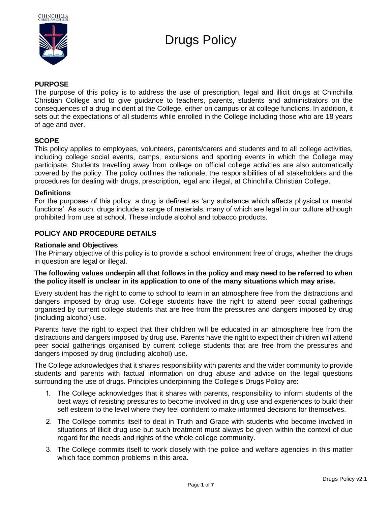

# Drugs Policy

# **PURPOSE**

The purpose of this policy is to address the use of prescription, legal and illicit drugs at Chinchilla Christian College and to give guidance to teachers, parents, students and administrators on the consequences of a drug incident at the College, either on campus or at college functions. In addition, it sets out the expectations of all students while enrolled in the College including those who are 18 years of age and over.

# **SCOPE**

This policy applies to employees, volunteers, parents/carers and students and to all college activities, including college social events, camps, excursions and sporting events in which the College may participate. Students travelling away from college on official college activities are also automatically covered by the policy. The policy outlines the rationale, the responsibilities of all stakeholders and the procedures for dealing with drugs, prescription, legal and illegal, at Chinchilla Christian College.

#### **Definitions**

For the purposes of this policy, a drug is defined as 'any substance which affects physical or mental functions'. As such, drugs include a range of materials, many of which are legal in our culture although prohibited from use at school. These include alcohol and tobacco products.

# **POLICY AND PROCEDURE DETAILS**

#### **Rationale and Objectives**

The Primary objective of this policy is to provide a school environment free of drugs, whether the drugs in question are legal or illegal.

#### **The following values underpin all that follows in the policy and may need to be referred to when the policy itself is unclear in its application to one of the many situations which may arise.**

Every student has the right to come to school to learn in an atmosphere free from the distractions and dangers imposed by drug use. College students have the right to attend peer social gatherings organised by current college students that are free from the pressures and dangers imposed by drug (including alcohol) use.

Parents have the right to expect that their children will be educated in an atmosphere free from the distractions and dangers imposed by drug use. Parents have the right to expect their children will attend peer social gatherings organised by current college students that are free from the pressures and dangers imposed by drug (including alcohol) use.

The College acknowledges that it shares responsibility with parents and the wider community to provide students and parents with factual information on drug abuse and advice on the legal questions surrounding the use of drugs. Principles underpinning the College's Drugs Policy are:

- 1. The College acknowledges that it shares with parents, responsibility to inform students of the best ways of resisting pressures to become involved in drug use and experiences to build their self esteem to the level where they feel confident to make informed decisions for themselves.
- 2. The College commits itself to deal in Truth and Grace with students who become involved in situations of illicit drug use but such treatment must always be given within the context of due regard for the needs and rights of the whole college community.
- 3. The College commits itself to work closely with the police and welfare agencies in this matter which face common problems in this area.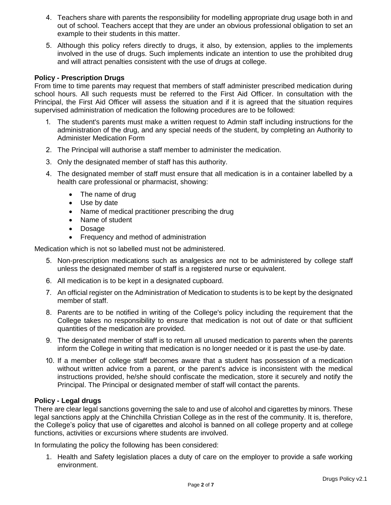- 4. Teachers share with parents the responsibility for modelling appropriate drug usage both in and out of school. Teachers accept that they are under an obvious professional obligation to set an example to their students in this matter.
- 5. Although this policy refers directly to drugs, it also, by extension, applies to the implements involved in the use of drugs. Such implements indicate an intention to use the prohibited drug and will attract penalties consistent with the use of drugs at college.

# **Policy - Prescription Drugs**

From time to time parents may request that members of staff administer prescribed medication during school hours. All such requests must be referred to the First Aid Officer. In consultation with the Principal, the First Aid Officer will assess the situation and if it is agreed that the situation requires supervised administration of medication the following procedures are to be followed:

- 1. The student's parents must make a written request to Admin staff including instructions for the administration of the drug, and any special needs of the student, by completing an Authority to Administer Medication Form
- 2. The Principal will authorise a staff member to administer the medication.
- 3. Only the designated member of staff has this authority.
- 4. The designated member of staff must ensure that all medication is in a container labelled by a health care professional or pharmacist, showing:
	- The name of drug
	- Use by date
	- Name of medical practitioner prescribing the drug
	- Name of student
	- Dosage
	- Frequency and method of administration

Medication which is not so labelled must not be administered.

- 5. Non-prescription medications such as analgesics are not to be administered by college staff unless the designated member of staff is a registered nurse or equivalent.
- 6. All medication is to be kept in a designated cupboard.
- 7. An official register on the Administration of Medication to students is to be kept by the designated member of staff.
- 8. Parents are to be notified in writing of the College's policy including the requirement that the College takes no responsibility to ensure that medication is not out of date or that sufficient quantities of the medication are provided.
- 9. The designated member of staff is to return all unused medication to parents when the parents inform the College in writing that medication is no longer needed or it is past the use-by date.
- 10. If a member of college staff becomes aware that a student has possession of a medication without written advice from a parent, or the parent's advice is inconsistent with the medical instructions provided, he/she should confiscate the medication, store it securely and notify the Principal. The Principal or designated member of staff will contact the parents.

#### **Policy - Legal drugs**

There are clear legal sanctions governing the sale to and use of alcohol and cigarettes by minors. These legal sanctions apply at the Chinchilla Christian College as in the rest of the community. It is, therefore, the College's policy that use of cigarettes and alcohol is banned on all college property and at college functions, activities or excursions where students are involved.

In formulating the policy the following has been considered:

1. Health and Safety legislation places a duty of care on the employer to provide a safe working environment.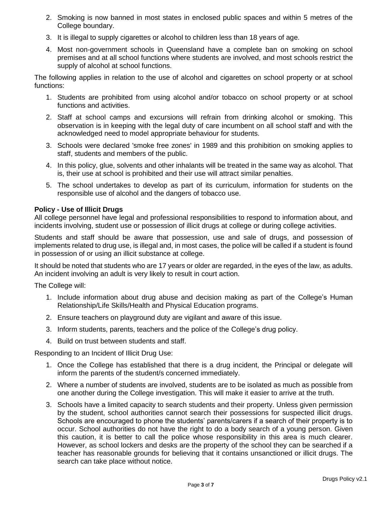- 2. Smoking is now banned in most states in enclosed public spaces and within 5 metres of the College boundary.
- 3. It is illegal to supply cigarettes or alcohol to children less than 18 years of age.
- 4. Most non-government schools in Queensland have a complete ban on smoking on school premises and at all school functions where students are involved, and most schools restrict the supply of alcohol at school functions.

The following applies in relation to the use of alcohol and cigarettes on school property or at school functions:

- 1. Students are prohibited from using alcohol and/or tobacco on school property or at school functions and activities.
- 2. Staff at school camps and excursions will refrain from drinking alcohol or smoking. This observation is in keeping with the legal duty of care incumbent on all school staff and with the acknowledged need to model appropriate behaviour for students.
- 3. Schools were declared 'smoke free zones' in 1989 and this prohibition on smoking applies to staff, students and members of the public.
- 4. In this policy, glue, solvents and other inhalants will be treated in the same way as alcohol. That is, their use at school is prohibited and their use will attract similar penalties.
- 5. The school undertakes to develop as part of its curriculum, information for students on the responsible use of alcohol and the dangers of tobacco use.

#### **Policy - Use of Illicit Drugs**

All college personnel have legal and professional responsibilities to respond to information about, and incidents involving, student use or possession of illicit drugs at college or during college activities.

Students and staff should be aware that possession, use and sale of drugs, and possession of implements related to drug use, is illegal and, in most cases, the police will be called if a student is found in possession of or using an illicit substance at college.

It should be noted that students who are 17 years or older are regarded, in the eyes of the law, as adults. An incident involving an adult is very likely to result in court action.

The College will:

- 1. Include information about drug abuse and decision making as part of the College's Human Relationship/Life Skills/Health and Physical Education programs.
- 2. Ensure teachers on playground duty are vigilant and aware of this issue.
- 3. Inform students, parents, teachers and the police of the College's drug policy.
- 4. Build on trust between students and staff.

Responding to an Incident of Illicit Drug Use:

- 1. Once the College has established that there is a drug incident, the Principal or delegate will inform the parents of the student/s concerned immediately.
- 2. Where a number of students are involved, students are to be isolated as much as possible from one another during the College investigation. This will make it easier to arrive at the truth.
- 3. Schools have a limited capacity to search students and their property. Unless given permission by the student, school authorities cannot search their possessions for suspected illicit drugs. Schools are encouraged to phone the students' parents/carers if a search of their property is to occur. School authorities do not have the right to do a body search of a young person. Given this caution, it is better to call the police whose responsibility in this area is much clearer. However, as school lockers and desks are the property of the school they can be searched if a teacher has reasonable grounds for believing that it contains unsanctioned or illicit drugs. The search can take place without notice.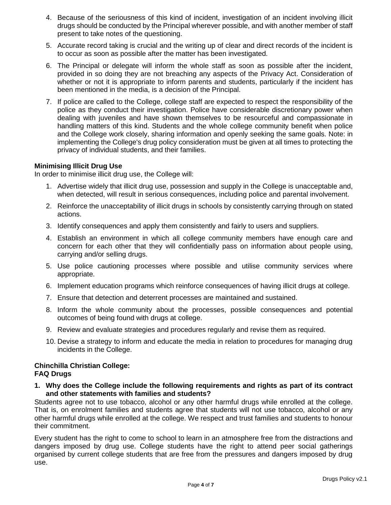- 4. Because of the seriousness of this kind of incident, investigation of an incident involving illicit drugs should be conducted by the Principal wherever possible, and with another member of staff present to take notes of the questioning.
- 5. Accurate record taking is crucial and the writing up of clear and direct records of the incident is to occur as soon as possible after the matter has been investigated.
- 6. The Principal or delegate will inform the whole staff as soon as possible after the incident, provided in so doing they are not breaching any aspects of the Privacy Act. Consideration of whether or not it is appropriate to inform parents and students, particularly if the incident has been mentioned in the media, is a decision of the Principal.
- 7. If police are called to the College, college staff are expected to respect the responsibility of the police as they conduct their investigation. Police have considerable discretionary power when dealing with juveniles and have shown themselves to be resourceful and compassionate in handling matters of this kind. Students and the whole college community benefit when police and the College work closely, sharing information and openly seeking the same goals. Note: in implementing the College's drug policy consideration must be given at all times to protecting the privacy of individual students, and their families.

# **Minimising Illicit Drug Use**

In order to minimise illicit drug use, the College will:

- 1. Advertise widely that illicit drug use, possession and supply in the College is unacceptable and, when detected, will result in serious consequences, including police and parental involvement.
- 2. Reinforce the unacceptability of illicit drugs in schools by consistently carrying through on stated actions.
- 3. Identify consequences and apply them consistently and fairly to users and suppliers.
- 4. Establish an environment in which all college community members have enough care and concern for each other that they will confidentially pass on information about people using, carrying and/or selling drugs.
- 5. Use police cautioning processes where possible and utilise community services where appropriate.
- 6. Implement education programs which reinforce consequences of having illicit drugs at college.
- 7. Ensure that detection and deterrent processes are maintained and sustained.
- 8. Inform the whole community about the processes, possible consequences and potential outcomes of being found with drugs at college.
- 9. Review and evaluate strategies and procedures regularly and revise them as required.
- 10. Devise a strategy to inform and educate the media in relation to procedures for managing drug incidents in the College.

#### **Chinchilla Christian College: FAQ Drugs**

**1. Why does the College include the following requirements and rights as part of its contract and other statements with families and students?**

Students agree not to use tobacco, alcohol or any other harmful drugs while enrolled at the college. That is, on enrolment families and students agree that students will not use tobacco, alcohol or any other harmful drugs while enrolled at the college. We respect and trust families and students to honour their commitment.

Every student has the right to come to school to learn in an atmosphere free from the distractions and dangers imposed by drug use. College students have the right to attend peer social gatherings organised by current college students that are free from the pressures and dangers imposed by drug use.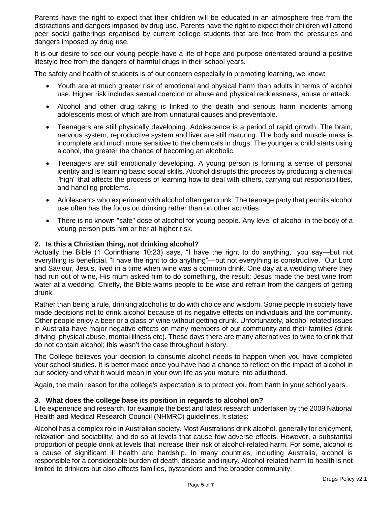Parents have the right to expect that their children will be educated in an atmosphere free from the distractions and dangers imposed by drug use. Parents have the right to expect their children will attend peer social gatherings organised by current college students that are free from the pressures and dangers imposed by drug use.

It is our desire to see our young people have a life of hope and purpose orientated around a positive lifestyle free from the dangers of harmful drugs in their school years.

The safety and health of students is of our concern especially in promoting learning, we know:

- Youth are at much greater risk of emotional and physical harm than adults in terms of alcohol use. Higher risk includes sexual coercion or abuse and physical recklessness, abuse or attack.
- Alcohol and other drug taking is linked to the death and serious harm incidents among adolescents most of which are from unnatural causes and preventable.
- Teenagers are still physically developing. Adolescence is a period of rapid growth. The brain, nervous system, reproductive system and liver are still maturing. The body and muscle mass is incomplete and much more sensitive to the chemicals in drugs. The younger a child starts using alcohol, the greater the chance of becoming an alcoholic.
- Teenagers are still emotionally developing. A young person is forming a sense of personal identity and is learning basic social skills. Alcohol disrupts this process by producing a chemical "high" that affects the process of learning how to deal with others, carrying out responsibilities, and handling problems.
- Adolescents who experiment with alcohol often get drunk. The teenage party that permits alcohol use often has the focus on drinking rather than on other activities.
- There is no known "safe" dose of alcohol for young people. Any level of alcohol in the body of a young person puts him or her at higher risk.

# **2. Is this a Christian thing, not drinking alcohol?**

Actually the Bible (1 Corinthians 10:23) says, "I have the right to do anything," you say—but not everything is beneficial. "I have the right to do anything"—but not everything is constructive." Our Lord and Saviour, Jesus, lived in a time when wine was a common drink. One day at a wedding where they had run out of wine, His mum asked him to do something, the result; Jesus made the best wine from water at a wedding. Chiefly, the Bible warns people to be wise and refrain from the dangers of getting drunk.

Rather than being a rule, drinking alcohol is to do with choice and wisdom. Some people in society have made decisions not to drink alcohol because of its negative effects on individuals and the community. Other people enjoy a beer or a glass of wine without getting drunk. Unfortunately, alcohol related issues in Australia have major negative effects on many members of our community and their families (drink driving, physical abuse, mental illness etc). These days there are many alternatives to wine to drink that do not contain alcohol; this wasn't the case throughout history.

The College believes your decision to consume alcohol needs to happen when you have completed your school studies. It is better made once you have had a chance to reflect on the impact of alcohol in our society and what it would mean in your own life as you mature into adulthood.

Again, the main reason for the college's expectation is to protect you from harm in your school years.

# **3. What does the college base its position in regards to alcohol on?**

Life experience and research, for example the best and latest research undertaken by the 2009 National Health and Medical Research Council (NHMRC) guidelines. It states:

Alcohol has a complex role in Australian society. Most Australians drink alcohol, generally for enjoyment, relaxation and sociability, and do so at levels that cause few adverse effects. However, a substantial proportion of people drink at levels that increase their risk of alcohol-related harm. For some, alcohol is a cause of significant ill health and hardship. In many countries, including Australia, alcohol is responsible for a considerable burden of death, disease and injury. Alcohol-related harm to health is not limited to drinkers but also affects families, bystanders and the broader community.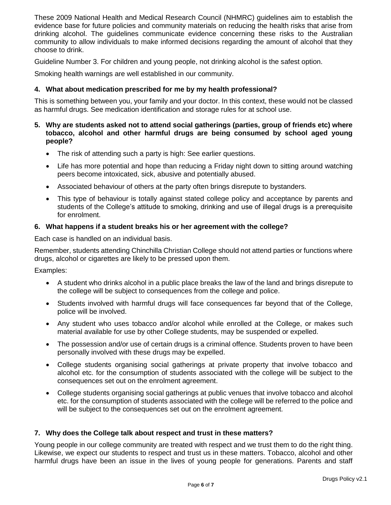These 2009 National Health and Medical Research Council (NHMRC) guidelines aim to establish the evidence base for future policies and community materials on reducing the health risks that arise from drinking alcohol. The guidelines communicate evidence concerning these risks to the Australian community to allow individuals to make informed decisions regarding the amount of alcohol that they choose to drink.

Guideline Number 3. For children and young people, not drinking alcohol is the safest option.

Smoking health warnings are well established in our community.

# **4. What about medication prescribed for me by my health professional?**

This is something between you, your family and your doctor. In this context, these would not be classed as harmful drugs. See medication identification and storage rules for at school use.

# **5. Why are students asked not to attend social gatherings (parties, group of friends etc) where tobacco, alcohol and other harmful drugs are being consumed by school aged young people?**

- The risk of attending such a party is high: See earlier questions.
- Life has more potential and hope than reducing a Friday night down to sitting around watching peers become intoxicated, sick, abusive and potentially abused.
- Associated behaviour of others at the party often brings disrepute to bystanders.
- This type of behaviour is totally against stated college policy and acceptance by parents and students of the College's attitude to smoking, drinking and use of illegal drugs is a prerequisite for enrolment.

# **6. What happens if a student breaks his or her agreement with the college?**

Each case is handled on an individual basis.

Remember, students attending Chinchilla Christian College should not attend parties or functions where drugs, alcohol or cigarettes are likely to be pressed upon them.

Examples:

- A student who drinks alcohol in a public place breaks the law of the land and brings disrepute to the college will be subject to consequences from the college and police.
- Students involved with harmful drugs will face consequences far beyond that of the College, police will be involved.
- Any student who uses tobacco and/or alcohol while enrolled at the College, or makes such material available for use by other College students, may be suspended or expelled.
- The possession and/or use of certain drugs is a criminal offence. Students proven to have been personally involved with these drugs may be expelled.
- College students organising social gatherings at private property that involve tobacco and alcohol etc. for the consumption of students associated with the college will be subject to the consequences set out on the enrolment agreement.
- College students organising social gatherings at public venues that involve tobacco and alcohol etc. for the consumption of students associated with the college will be referred to the police and will be subject to the consequences set out on the enrolment agreement.

# **7. Why does the College talk about respect and trust in these matters?**

Young people in our college community are treated with respect and we trust them to do the right thing. Likewise, we expect our students to respect and trust us in these matters. Tobacco, alcohol and other harmful drugs have been an issue in the lives of young people for generations. Parents and staff